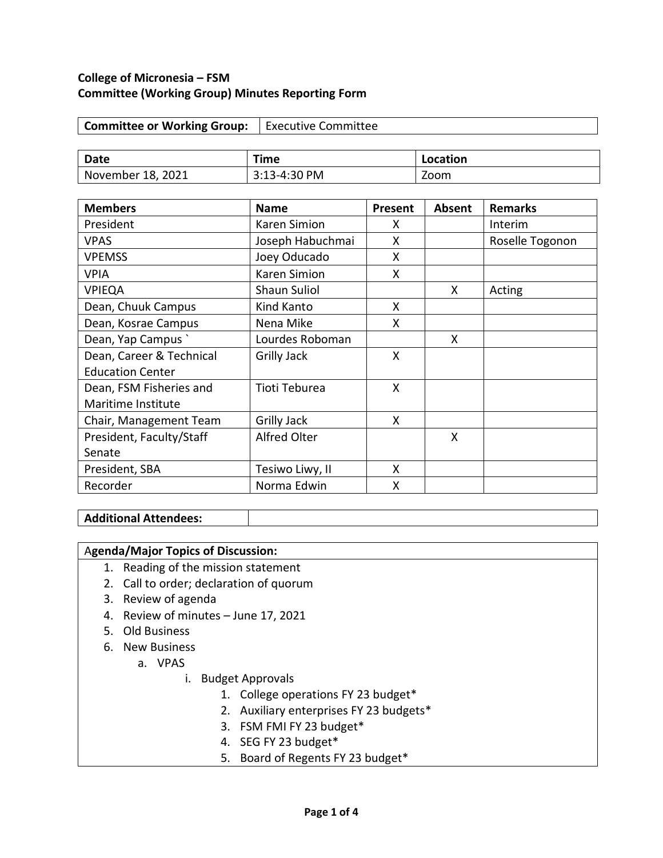## **College of Micronesia – FSM Committee (Working Group) Minutes Reporting Form**

| Committee or Working Group:   Executive Committee |  |
|---------------------------------------------------|--|
|---------------------------------------------------|--|

| Date              | Time         | Location |
|-------------------|--------------|----------|
| November 18, 2021 | 3:13-4:30 PM | Zoom     |

| <b>Members</b>           | <b>Name</b>         | Present | <b>Absent</b> | <b>Remarks</b>  |
|--------------------------|---------------------|---------|---------------|-----------------|
| President                | Karen Simion        | X       |               | Interim         |
| <b>VPAS</b>              | Joseph Habuchmai    | X       |               | Roselle Togonon |
| <b>VPEMSS</b>            | Joey Oducado        | X       |               |                 |
| <b>VPIA</b>              | Karen Simion        | X       |               |                 |
| <b>VPIEQA</b>            | <b>Shaun Suliol</b> |         | X             | Acting          |
| Dean, Chuuk Campus       | Kind Kanto          | X       |               |                 |
| Dean, Kosrae Campus      | Nena Mike           | X       |               |                 |
| Dean, Yap Campus         | Lourdes Roboman     |         | X             |                 |
| Dean, Career & Technical | <b>Grilly Jack</b>  | X       |               |                 |
| <b>Education Center</b>  |                     |         |               |                 |
| Dean, FSM Fisheries and  | Tioti Teburea       | X       |               |                 |
| Maritime Institute       |                     |         |               |                 |
| Chair, Management Team   | <b>Grilly Jack</b>  | X       |               |                 |
| President, Faculty/Staff | <b>Alfred Olter</b> |         | X             |                 |
| Senate                   |                     |         |               |                 |
| President, SBA           | Tesiwo Liwy, II     | X       |               |                 |
| Recorder                 | Norma Edwin         | X       |               |                 |

#### **Additional Attendees:**

# A**genda/Major Topics of Discussion:**

- 1. Reading of the mission statement
- 2. Call to order; declaration of quorum
- 3. Review of agenda
- 4. Review of minutes June 17, 2021
- 5. Old Business
- 6. New Business
	- a. VPAS
		- i. Budget Approvals
			- 1. College operations FY 23 budget\*
			- 2. Auxiliary enterprises FY 23 budgets\*
			- 3. FSM FMI FY 23 budget\*
			- 4. SEG FY 23 budget\*
			- 5. Board of Regents FY 23 budget\*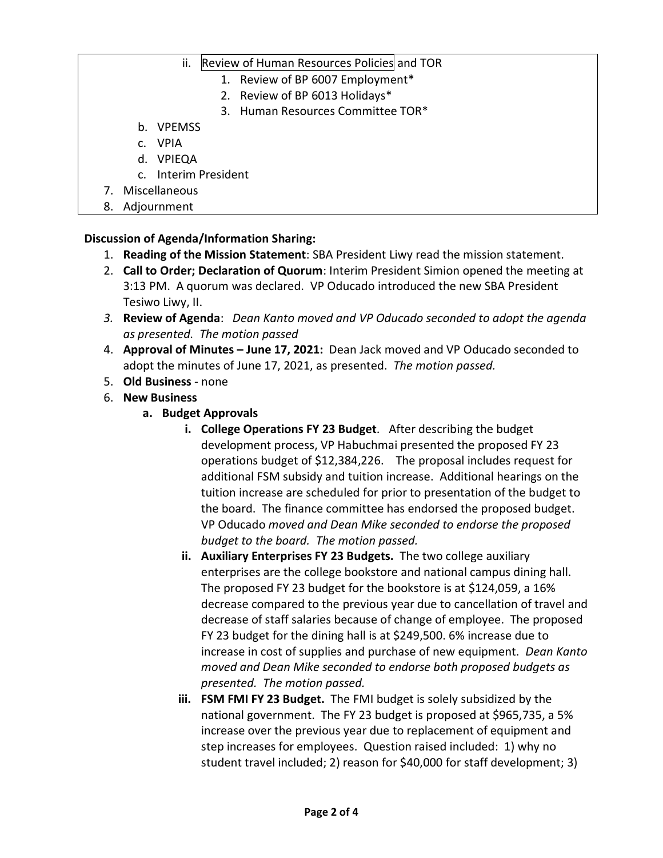- ii. Review of Human Resources Policies and TOR
	- 1. Review of BP 6007 Employment\*
	- 2. Review of BP 6013 Holidays\*
	- 3. Human Resources Committee TOR\*
- b. VPEMSS
- c. VPIA
- d. VPIEQA
- c. Interim President
- 7. Miscellaneous
- 8. Adjournment

## **Discussion of Agenda/Information Sharing:**

- 1. **Reading of the Mission Statement**: SBA President Liwy read the mission statement.
- 2. **Call to Order; Declaration of Quorum**: Interim President Simion opened the meeting at 3:13 PM. A quorum was declared. VP Oducado introduced the new SBA President Tesiwo Liwy, II.
- *3.* **Review of Agenda**: *Dean Kanto moved and VP Oducado seconded to adopt the agenda as presented. The motion passed*
- 4. **Approval of Minutes – June 17, 2021:** Dean Jack moved and VP Oducado seconded to adopt the minutes of June 17, 2021, as presented. *The motion passed.*
- 5. **Old Business**  none
- 6. **New Business**
	- **a. Budget Approvals**
		- **i. College Operations FY 23 Budget**. After describing the budget development process, VP Habuchmai presented the proposed FY 23 operations budget of \$12,384,226. The proposal includes request for additional FSM subsidy and tuition increase. Additional hearings on the tuition increase are scheduled for prior to presentation of the budget to the board. The finance committee has endorsed the proposed budget. VP Oducado *moved and Dean Mike seconded to endorse the proposed budget to the board. The motion passed.*
		- **ii. Auxiliary Enterprises FY 23 Budgets.** The two college auxiliary enterprises are the college bookstore and national campus dining hall. The proposed FY 23 budget for the bookstore is at \$124,059, a 16% decrease compared to the previous year due to cancellation of travel and decrease of staff salaries because of change of employee. The proposed FY 23 budget for the dining hall is at \$249,500. 6% increase due to increase in cost of supplies and purchase of new equipment. *Dean Kanto moved and Dean Mike seconded to endorse both proposed budgets as presented. The motion passed.*
		- **iii. FSM FMI FY 23 Budget.** The FMI budget is solely subsidized by the national government. The FY 23 budget is proposed at \$965,735, a 5% increase over the previous year due to replacement of equipment and step increases for employees. Question raised included: 1) why no student travel included; 2) reason for \$40,000 for staff development; 3)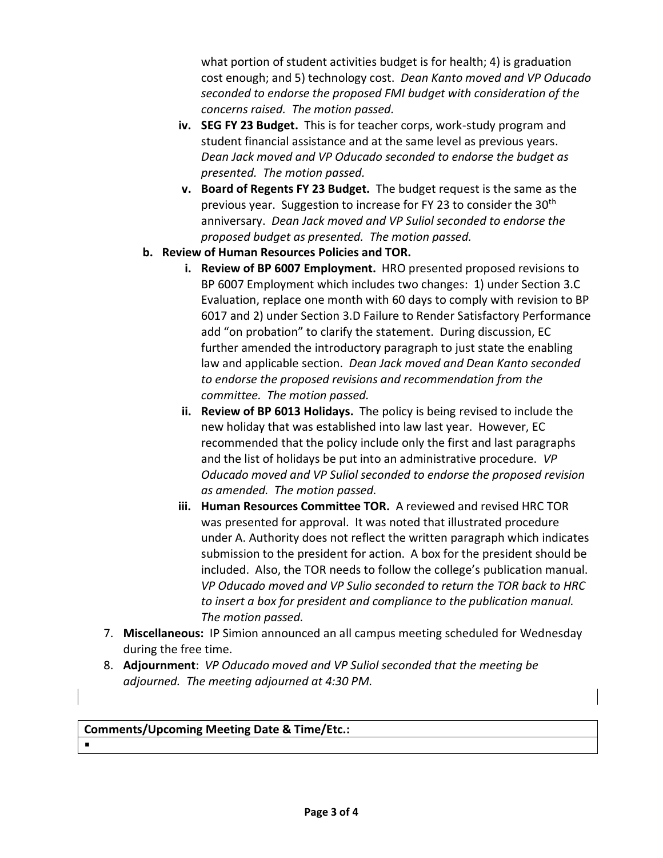what portion of student activities budget is for health; 4) is graduation cost enough; and 5) technology cost. *Dean Kanto moved and VP Oducado seconded to endorse the proposed FMI budget with consideration of the concerns raised. The motion passed.*

- **iv. SEG FY 23 Budget.** This is for teacher corps, work-study program and student financial assistance and at the same level as previous years. *Dean Jack moved and VP Oducado seconded to endorse the budget as presented. The motion passed.*
- **v. Board of Regents FY 23 Budget.** The budget request is the same as the previous year. Suggestion to increase for FY 23 to consider the 30th anniversary. *Dean Jack moved and VP Suliol seconded to endorse the proposed budget as presented. The motion passed.*
- **b. Review of Human Resources Policies and TOR.**
	- **i. Review of BP 6007 Employment.** HRO presented proposed revisions to BP 6007 Employment which includes two changes: 1) under Section 3.C Evaluation, replace one month with 60 days to comply with revision to BP 6017 and 2) under Section 3.D Failure to Render Satisfactory Performance add "on probation" to clarify the statement. During discussion, EC further amended the introductory paragraph to just state the enabling law and applicable section. *Dean Jack moved and Dean Kanto seconded to endorse the proposed revisions and recommendation from the committee. The motion passed.*
	- **ii. Review of BP 6013 Holidays.** The policy is being revised to include the new holiday that was established into law last year. However, EC recommended that the policy include only the first and last paragraphs and the list of holidays be put into an administrative procedure. *VP Oducado moved and VP Suliol seconded to endorse the proposed revision as amended. The motion passed.*
	- **iii. Human Resources Committee TOR.** A reviewed and revised HRC TOR was presented for approval. It was noted that illustrated procedure under A. Authority does not reflect the written paragraph which indicates submission to the president for action. A box for the president should be included. Also, the TOR needs to follow the college's publication manual. *VP Oducado moved and VP Sulio seconded to return the TOR back to HRC to insert a box for president and compliance to the publication manual. The motion passed.*
- 7. **Miscellaneous:** IP Simion announced an all campus meeting scheduled for Wednesday during the free time.
- 8. **Adjournment**: *VP Oducado moved and VP Suliol seconded that the meeting be adjourned. The meeting adjourned at 4:30 PM.*

## **Comments/Upcoming Meeting Date & Time/Etc.:**

 $\blacksquare$